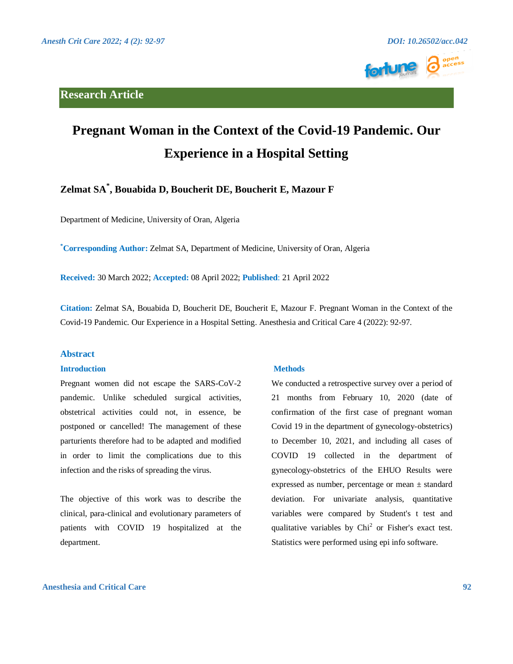## **Research Article**





# **Pregnant Woman in the Context of the Covid-19 Pandemic. Our Experience in a Hospital Setting**

# **Zelmat SA\* , Bouabida D, Boucherit DE, Boucherit E, Mazour F**

Department of Medicine, University of Oran, Algeria

**\*Corresponding Author:** Zelmat SA, Department of Medicine, University of Oran, Algeria

**Received:** 30 March 2022; **Accepted:** 08 April 2022; **Published**: 21 April 2022

**Citation:** Zelmat SA, Bouabida D, Boucherit DE, Boucherit E, Mazour F. Pregnant Woman in the Context of the Covid-19 Pandemic. Our Experience in a Hospital Setting. Anesthesia and Critical Care 4 (2022): 92-97.

#### **Abstract**

#### **Introduction**

Pregnant women did not escape the SARS-CoV-2 pandemic. Unlike scheduled surgical activities, obstetrical activities could not, in essence, be postponed or cancelled! The management of these parturients therefore had to be adapted and modified in order to limit the complications due to this infection and the risks of spreading the virus.

The objective of this work was to describe the clinical, para-clinical and evolutionary parameters of patients with COVID 19 hospitalized at the department.

#### **Methods**

We conducted a retrospective survey over a period of 21 months from February 10, 2020 (date of confirmation of the first case of pregnant woman Covid 19 in the department of gynecology-obstetrics) to December 10, 2021, and including all cases of COVID 19 collected in the department of gynecology-obstetrics of the EHUO Results were expressed as number, percentage or mean ± standard deviation. For univariate analysis, quantitative variables were compared by Student's t test and qualitative variables by  $Chi<sup>2</sup>$  or Fisher's exact test. Statistics were performed using epi info software.

### **Anesthesia and Critical Care 92**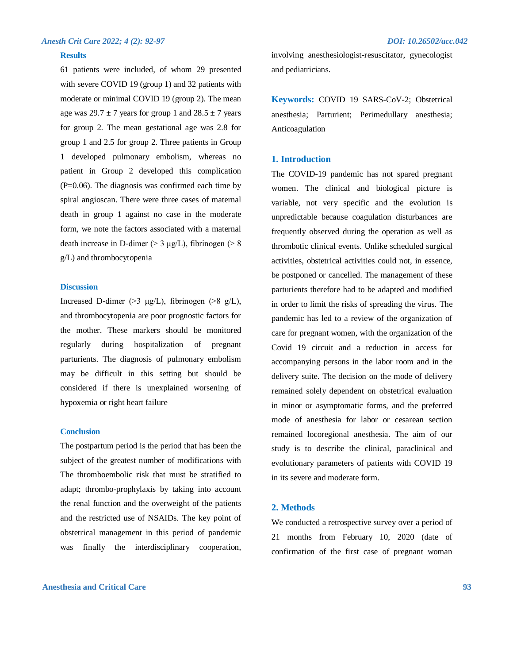#### **Results**

61 patients were included, of whom 29 presented with severe COVID 19 (group 1) and 32 patients with moderate or minimal COVID 19 (group 2). The mean age was  $29.7 \pm 7$  years for group 1 and  $28.5 \pm 7$  years for group 2. The mean gestational age was 2.8 for group 1 and 2.5 for group 2. Three patients in Group 1 developed pulmonary embolism, whereas no patient in Group 2 developed this complication  $(P=0.06)$ . The diagnosis was confirmed each time by spiral angioscan. There were three cases of maternal death in group 1 against no case in the moderate form, we note the factors associated with a maternal death increase in D-dimer ( $> 3 \mu g/L$ ), fibrinogen ( $> 8$ g/L) and thrombocytopenia

#### **Discussion**

Increased D-dimer (>3  $\mu$ g/L), fibrinogen (>8 g/L), and thrombocytopenia are poor prognostic factors for the mother. These markers should be monitored regularly during hospitalization of pregnant parturients. The diagnosis of pulmonary embolism may be difficult in this setting but should be considered if there is unexplained worsening of hypoxemia or right heart failure

#### **Conclusion**

The postpartum period is the period that has been the subject of the greatest number of modifications with The thromboembolic risk that must be stratified to adapt; thrombo-prophylaxis by taking into account the renal function and the overweight of the patients and the restricted use of NSAIDs. The key point of obstetrical management in this period of pandemic was finally the interdisciplinary cooperation,

involving anesthesiologist-resuscitator, gynecologist and pediatricians.

**Keywords:** COVID 19 SARS-CoV-2; Obstetrical anesthesia; Parturient; Perimedullary anesthesia; Anticoagulation

#### **1. Introduction**

The COVID-19 pandemic has not spared pregnant women. The clinical and biological picture is variable, not very specific and the evolution is unpredictable because coagulation disturbances are frequently observed during the operation as well as thrombotic clinical events. Unlike scheduled surgical activities, obstetrical activities could not, in essence, be postponed or cancelled. The management of these parturients therefore had to be adapted and modified in order to limit the risks of spreading the virus. The pandemic has led to a review of the organization of care for pregnant women, with the organization of the Covid 19 circuit and a reduction in access for accompanying persons in the labor room and in the delivery suite. The decision on the mode of delivery remained solely dependent on obstetrical evaluation in minor or asymptomatic forms, and the preferred mode of anesthesia for labor or cesarean section remained locoregional anesthesia. The aim of our study is to describe the clinical, paraclinical and evolutionary parameters of patients with COVID 19 in its severe and moderate form.

#### **2. Methods**

We conducted a retrospective survey over a period of 21 months from February 10, 2020 (date of confirmation of the first case of pregnant woman

### **Anesthesia and Critical Care 93**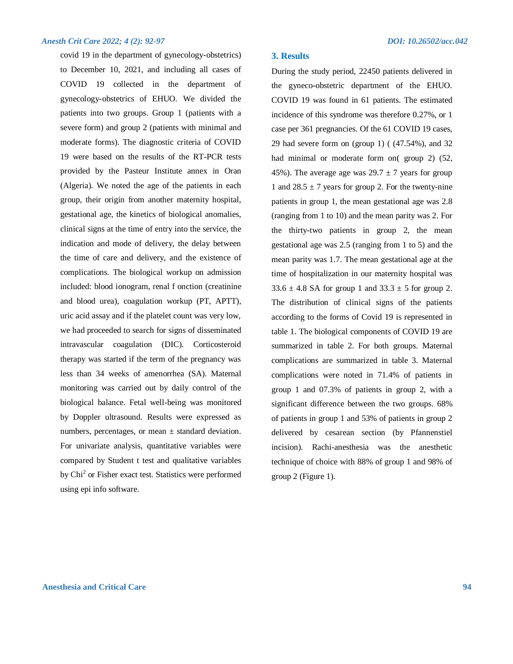#### *Anesth Crit Care 2022; 4 (2): 92-97 DOI: 10.26502/acc.042*

covid 19 in the department of gynecology-obstetrics) to December 10, 2021, and including all cases of COVID 19 collected in the department of gynecology-obstetrics of EHUO. We divided the patients into two groups. Group 1 (patients with a severe form) and group 2 (patients with minimal and moderate forms). The diagnostic criteria of COVID 19 were based on the results of the RT-PCR tests provided by the Pasteur Institute annex in Oran (Algeria). We noted the age of the patients in each group, their origin from another maternity hospital, gestational age, the kinetics of biological anomalies, clinical signs at the time of entry into the service, the indication and mode of delivery, the delay between the time of care and delivery, and the existence of complications. The biological workup on admission included: blood ionogram, renal f onction (creatinine and blood urea), coagulation workup (PT, APTT), uric acid assay and if the platelet count was very low, we had proceeded to search for signs of disseminated intravascular coagulation (DIC). Corticosteroid therapy was started if the term of the pregnancy was less than 34 weeks of amenorrhea (SA). Maternal monitoring was carried out by daily control of the biological balance. Fetal well-being was monitored by Doppler ultrasound. Results were expressed as numbers, percentages, or mean  $\pm$  standard deviation. For univariate analysis, quantitative variables were compared by Student t test and qualitative variables by Chi<sup>2</sup> or Fisher exact test. Statistics were performed using epi info software.

#### **3. Results**

During the study period, 22450 patients delivered in the gyneco-obstetric department of the EHUO. COVID 19 was found in 61 patients. The estimated incidence of this syndrome was therefore 0.27%, or 1 case per 361 pregnancies. Of the 61 COVID 19 cases, 29 had severe form on (group 1) ( (47.54%), and 32 had minimal or moderate form on( group 2) (52, 45%). The average age was  $29.7 \pm 7$  years for group 1 and  $28.5 \pm 7$  years for group 2. For the twenty-nine patients in group 1, the mean gestational age was 2.8 (ranging from 1 to 10) and the mean parity was 2. For the thirty-two patients in group 2, the mean gestational age was 2.5 (ranging from 1 to 5) and the mean parity was 1.7. The mean gestational age at the time of hospitalization in our maternity hospital was 33.6  $\pm$  4.8 SA for group 1 and 33.3  $\pm$  5 for group 2. The distribution of clinical signs of the patients according to the forms of Covid 19 is represented in table 1. The biological components of COVID 19 are summarized in table 2. For both groups. Maternal complications are summarized in table 3. Maternal complications were noted in 71.4% of patients in group 1 and 07.3% of patients in group 2, with a significant difference between the two groups. 68% of patients in group 1 and 53% of patients in group 2 delivered by cesarean section (by Pfannenstiel incision). Rachi-anesthesia was the anesthetic technique of choice with 88% of group 1 and 98% of group 2 (Figure 1).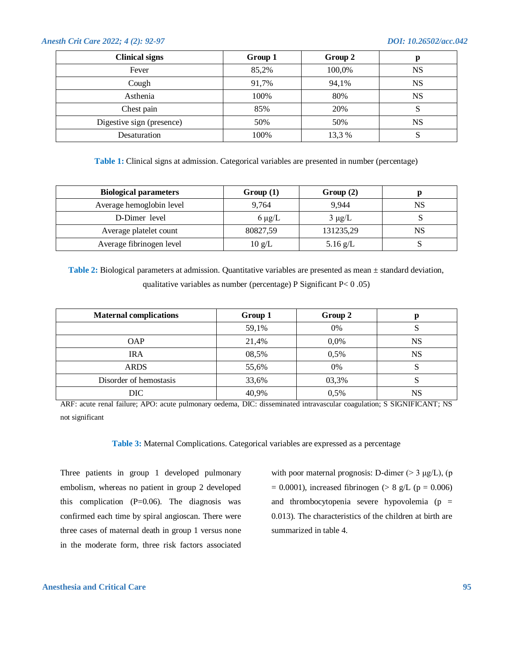#### *Anesth Crit Care 2022; 4 (2): 92-97 DOI: 10.26502/acc.042*

| <b>Clinical signs</b>     | Group 1 | Group 2 | p         |
|---------------------------|---------|---------|-----------|
| Fever                     | 85,2%   | 100,0%  | <b>NS</b> |
| Cough                     | 91,7%   | 94,1%   | NS        |
| Asthenia                  | 100%    | 80%     | NS        |
| Chest pain                | 85%     | 20%     | د         |
| Digestive sign (presence) | 50%     | 50%     | NS        |
| Desaturation              | 100%    | 13,3%   | د         |

**Table 1:** Clinical signs at admission. Categorical variables are presented in number (percentage)

| <b>Biological parameters</b> | Group(1)         | Group(2)    |    |
|------------------------------|------------------|-------------|----|
| Average hemoglobin level     | 9.764            | 9.944       | NS |
| D-Dimer level                | $6 \mu g/L$      | $3 \mu g/L$ |    |
| Average platelet count       | 80827,59         | 131235,29   | NS |
| Average fibrinogen level     | $10 \text{ g/L}$ | 5.16 $g/L$  |    |

**Table 2:** Biological parameters at admission. Quantitative variables are presented as mean  $\pm$  standard deviation, qualitative variables as number (percentage) P Significant P< 0 .05)

| <b>Maternal complications</b> | Group 1 | Group 2 |    |
|-------------------------------|---------|---------|----|
|                               | 59,1%   | 0%      |    |
| <b>OAP</b>                    | 21,4%   | $0.0\%$ | NS |
| <b>IRA</b>                    | 08,5%   | 0,5%    | NS |
| <b>ARDS</b>                   | 55,6%   | 0%      | υ  |
| Disorder of hemostasis        | 33,6%   | 03,3%   |    |
| DIC                           | 40,9%   | 0,5%    | NS |

ARF: acute renal failure; APO: acute pulmonary oedema, DIC: disseminated intravascular coagulation; S SIGNIFICANT; NS not significant

**Table 3:** Maternal Complications. Categorical variables are expressed as a percentage

Three patients in group 1 developed pulmonary embolism, whereas no patient in group 2 developed this complication  $(P=0.06)$ . The diagnosis was confirmed each time by spiral angioscan. There were three cases of maternal death in group 1 versus none in the moderate form, three risk factors associated

with poor maternal prognosis: D-dimer  $(> 3 \mu g/L)$ , (p  $= 0.0001$ ), increased fibrinogen (> 8 g/L (p = 0.006) and thrombocytopenia severe hypovolemia ( $p =$ 0.013). The characteristics of the children at birth are summarized in table 4.

#### **Anesthesia and Critical Care 95**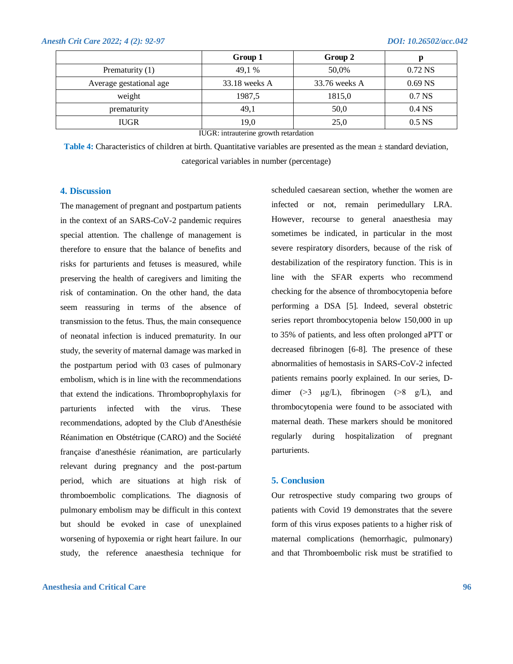|                         | Group 1         | Group 2         | р                  |
|-------------------------|-----------------|-----------------|--------------------|
| Prematurity $(1)$       | 49,1 %          | 50,0%           | $0.72$ NS          |
| Average gestational age | $33.18$ weeks A | $33.76$ weeks A | $0.69$ NS          |
| weight                  | 1987,5          | 1815,0          | 0.7 <sub>N</sub> S |
| prematurity             | 49,1            | 50,0            | 0.4 <sub>NS</sub>  |
| <b>IUGR</b>             | 19,0            | 25,0            | 0.5 <sub>N</sub> S |

IUGR: intrauterine growth retardation

Table 4: Characteristics of children at birth. Quantitative variables are presented as the mean  $\pm$  standard deviation, categorical variables in number (percentage)

#### **4. Discussion**

The management of pregnant and postpartum patients in the context of an SARS-CoV-2 pandemic requires special attention. The challenge of management is therefore to ensure that the balance of benefits and risks for parturients and fetuses is measured, while preserving the health of caregivers and limiting the risk of contamination. On the other hand, the data seem reassuring in terms of the absence of transmission to the fetus. Thus, the main consequence of neonatal infection is induced prematurity. In our study, the severity of maternal damage was marked in the postpartum period with 03 cases of pulmonary embolism, which is in line with the recommendations that extend the indications. Thromboprophylaxis for parturients infected with the virus. These recommendations, adopted by the Club d'Anesthésie Réanimation en Obstétrique (CARO) and the Société française d'anesthésie réanimation, are particularly relevant during pregnancy and the post-partum period, which are situations at high risk of thromboembolic complications. The diagnosis of pulmonary embolism may be difficult in this context but should be evoked in case of unexplained worsening of hypoxemia or right heart failure. In our study, the reference anaesthesia technique for

#### **Anesthesia and Critical Care 96**

scheduled caesarean section, whether the women are infected or not, remain perimedullary LRA. However, recourse to general anaesthesia may sometimes be indicated, in particular in the most severe respiratory disorders, because of the risk of destabilization of the respiratory function. This is in line with the SFAR experts who recommend checking for the absence of thrombocytopenia before performing a DSA [5]. Indeed, several obstetric series report thrombocytopenia below 150,000 in up to 35% of patients, and less often prolonged aPTT or decreased fibrinogen [6-8]. The presence of these abnormalities of hemostasis in SARS-CoV-2 infected patients remains poorly explained. In our series, Ddimer ( $>3$   $\mu$ g/L), fibrinogen ( $>8$  g/L), and thrombocytopenia were found to be associated with maternal death. These markers should be monitored regularly during hospitalization of pregnant parturients.

#### **5. Conclusion**

Our retrospective study comparing two groups of patients with Covid 19 demonstrates that the severe form of this virus exposes patients to a higher risk of maternal complications (hemorrhagic, pulmonary) and that Thromboembolic risk must be stratified to